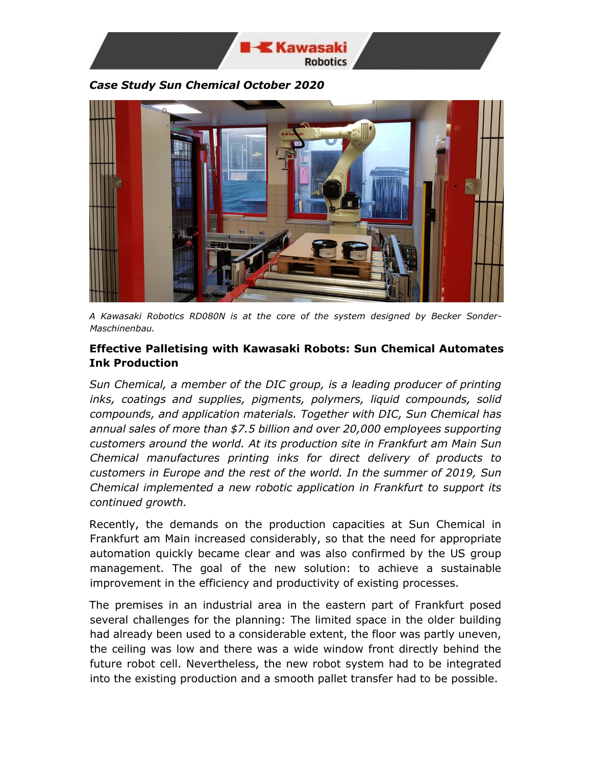

*Case Study Sun Chemical October 2020*



*A Kawasaki Robotics RD080N is at the core of the system designed by Becker Sonder-Maschinenbau.* 

## **Effective Palletising with Kawasaki Robots: Sun Chemical Automates Ink Production**

*Sun Chemical, a member of the DIC group, is a leading producer of printing inks, coatings and supplies, pigments, polymers, liquid compounds, solid compounds, and application materials. Together with DIC, Sun Chemical has annual sales of more than \$7.5 billion and over 20,000 employees supporting customers around the world. At its production site in Frankfurt am Main Sun Chemical manufactures printing inks for direct delivery of products to customers in Europe and the rest of the world. In the summer of 2019, Sun Chemical implemented a new robotic application in Frankfurt to support its continued growth.* 

Recently, the demands on the production capacities at Sun Chemical in Frankfurt am Main increased considerably, so that the need for appropriate automation quickly became clear and was also confirmed by the US group management. The goal of the new solution: to achieve a sustainable improvement in the efficiency and productivity of existing processes.

The premises in an industrial area in the eastern part of Frankfurt posed several challenges for the planning: The limited space in the older building had already been used to a considerable extent, the floor was partly uneven, the ceiling was low and there was a wide window front directly behind the future robot cell. Nevertheless, the new robot system had to be integrated into the existing production and a smooth pallet transfer had to be possible.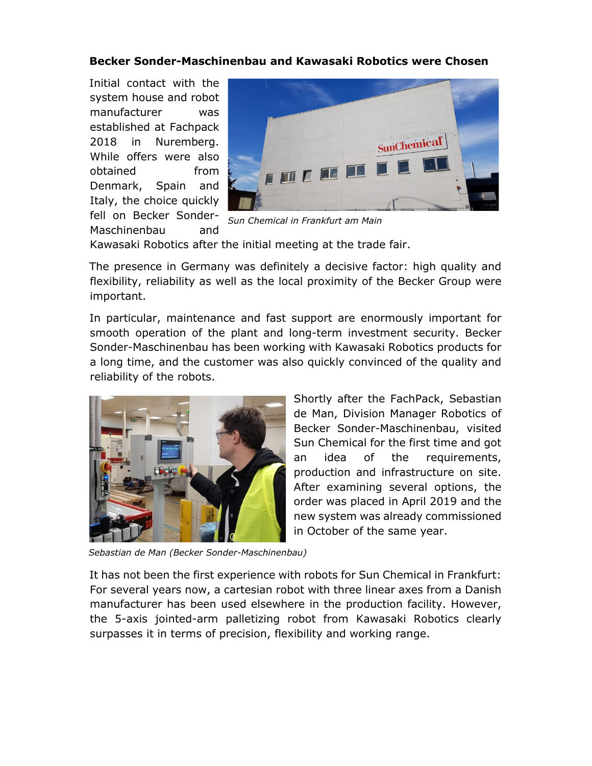## **Becker Sonder-Maschinenbau and Kawasaki Robotics were Chosen**

Initial contact with the system house and robot manufacturer was established at Fachpack 2018 in Nuremberg. While offers were also obtained from Denmark, Spain and Italy, the choice quickly fell on Becker Sonder-Maschinenbau and



*Sun Chemical in Frankfurt am Main*

Kawasaki Robotics after the initial meeting at the trade fair.

The presence in Germany was definitely a decisive factor: high quality and flexibility, reliability as well as the local proximity of the Becker Group were important.

In particular, maintenance and fast support are enormously important for smooth operation of the plant and long-term investment security. Becker Sonder-Maschinenbau has been working with Kawasaki Robotics products for a long time, and the customer was also quickly convinced of the quality and reliability of the robots.



Shortly after the FachPack, Sebastian de Man, Division Manager Robotics of Becker Sonder-Maschinenbau, visited Sun Chemical for the first time and got an idea of the requirements, production and infrastructure on site. After examining several options, the order was placed in April 2019 and the new system was already commissioned in October of the same year.

*Sebastian de Man (Becker Sonder-Maschinenbau)*

It has not been the first experience with robots for Sun Chemical in Frankfurt: For several years now, a cartesian robot with three linear axes from a Danish manufacturer has been used elsewhere in the production facility. However, the 5-axis jointed-arm palletizing robot from Kawasaki Robotics clearly surpasses it in terms of precision, flexibility and working range.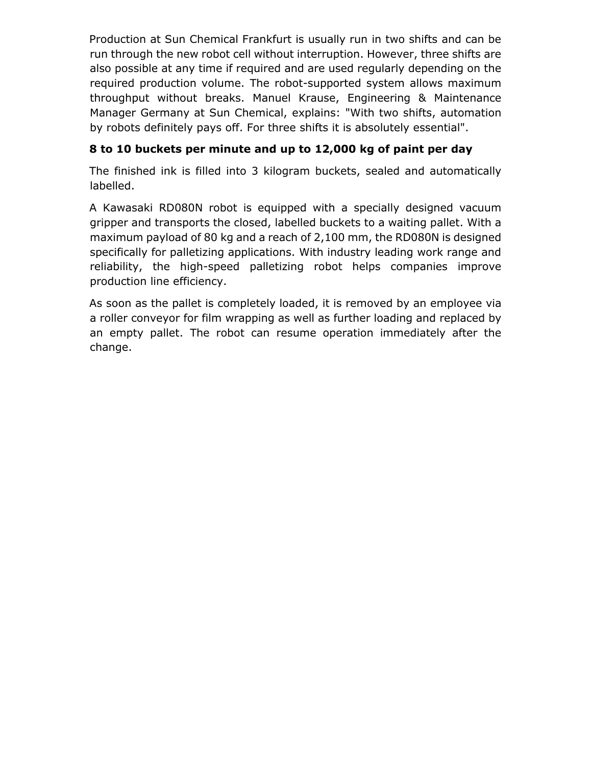Production at Sun Chemical Frankfurt is usually run in two shifts and can be run through the new robot cell without interruption. However, three shifts are also possible at any time if required and are used regularly depending on the required production volume. The robot-supported system allows maximum throughput without breaks. Manuel Krause, Engineering & Maintenance Manager Germany at Sun Chemical, explains: "With two shifts, automation by robots definitely pays off. For three shifts it is absolutely essential".

# **8 to 10 buckets per minute and up to 12,000 kg of paint per day**

The finished ink is filled into 3 kilogram buckets, sealed and automatically labelled.

A Kawasaki RD080N robot is equipped with a specially designed vacuum gripper and transports the closed, labelled buckets to a waiting pallet. With a maximum payload of 80 kg and a reach of 2,100 mm, the RD080N is designed specifically for palletizing applications. With industry leading work range and reliability, the high-speed palletizing robot helps companies improve production line efficiency.

As soon as the pallet is completely loaded, it is removed by an employee via a roller conveyor for film wrapping as well as further loading and replaced by an empty pallet. The robot can resume operation immediately after the change.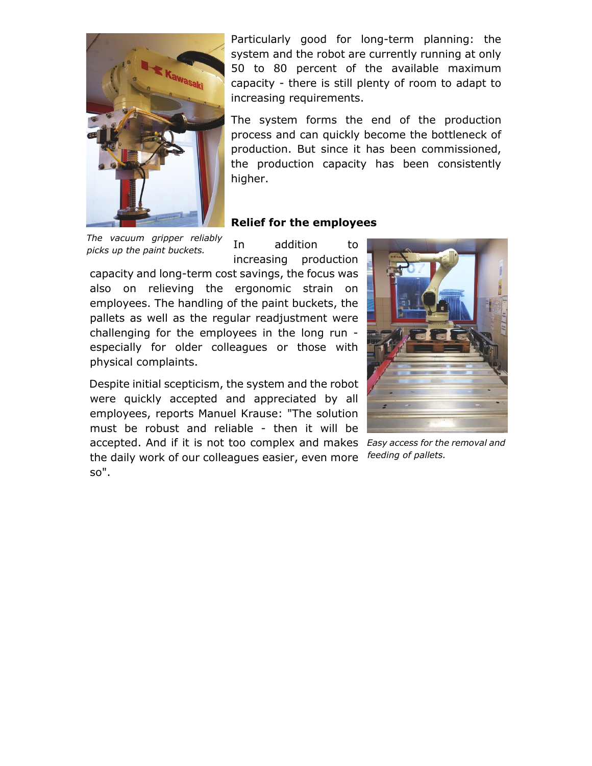

Particularly good for long-term planning: the system and the robot are currently running at only 50 to 80 percent of the available maximum capacity - there is still plenty of room to adapt to increasing requirements.

The system forms the end of the production process and can quickly become the bottleneck of production. But since it has been commissioned, the production capacity has been consistently higher.

#### **Relief for the employees**

*The vacuum gripper reliably picks up the paint buckets.* 

In addition to increasing production

capacity and long-term cost savings, the focus was also on relieving the ergonomic strain on employees. The handling of the paint buckets, the pallets as well as the regular readjustment were challenging for the employees in the long run especially for older colleagues or those with physical complaints.

Despite initial scepticism, the system and the robot were quickly accepted and appreciated by all employees, reports Manuel Krause: "The solution must be robust and reliable - then it will be accepted. And if it is not too complex and makes *Easy access for the removal and*  the daily work of our colleagues easier, even more so".



*feeding of pallets.*